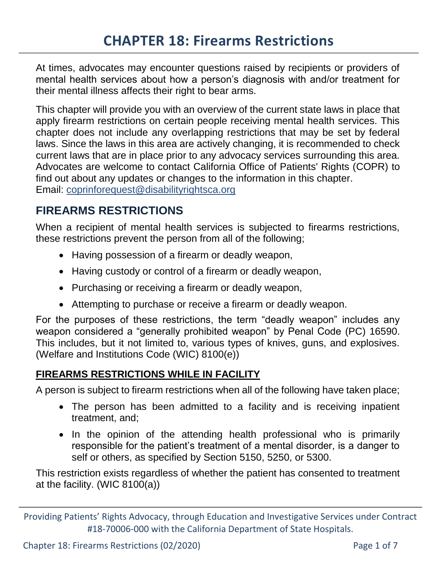At times, advocates may encounter questions raised by recipients or providers of mental health services about how a person's diagnosis with and/or treatment for their mental illness affects their right to bear arms.

This chapter will provide you with an overview of the current state laws in place that apply firearm restrictions on certain people receiving mental health services. This chapter does not include any overlapping restrictions that may be set by federal laws. Since the laws in this area are actively changing, it is recommended to check current laws that are in place prior to any advocacy services surrounding this area. Advocates are welcome to contact California Office of Patients' Rights (COPR) to find out about any updates or changes to the information in this chapter. Email: [coprinforequest@disabilityrightsca.org](mailto:coprinforequest@disabilityrightsca.org)

# **FIREARMS RESTRICTIONS**

When a recipient of mental health services is subjected to firearms restrictions, these restrictions prevent the person from all of the following;

- Having possession of a firearm or deadly weapon,
- Having custody or control of a firearm or deadly weapon,
- Purchasing or receiving a firearm or deadly weapon,
- Attempting to purchase or receive a firearm or deadly weapon.

For the purposes of these restrictions, the term "deadly weapon" includes any weapon considered a "generally prohibited weapon" by Penal Code (PC) 16590. This includes, but it not limited to, various types of knives, guns, and explosives. (Welfare and Institutions Code (WIC) 8100(e))

### **FIREARMS RESTRICTIONS WHILE IN FACILITY**

A person is subject to firearm restrictions when all of the following have taken place;

- The person has been admitted to a facility and is receiving inpatient treatment, and;
- In the opinion of the attending health professional who is primarily responsible for the patient's treatment of a mental disorder, is a danger to self or others, as specified by Section 5150, 5250, or 5300.

This restriction exists regardless of whether the patient has consented to treatment at the facility. (WIC 8100(a))

Chapter 18: Firearms Restrictions (02/2020) Page 1 of 7

Providing Patients' Rights Advocacy, through Education and Investigative Services under Contract #18-70006-000 with the California Department of State Hospitals.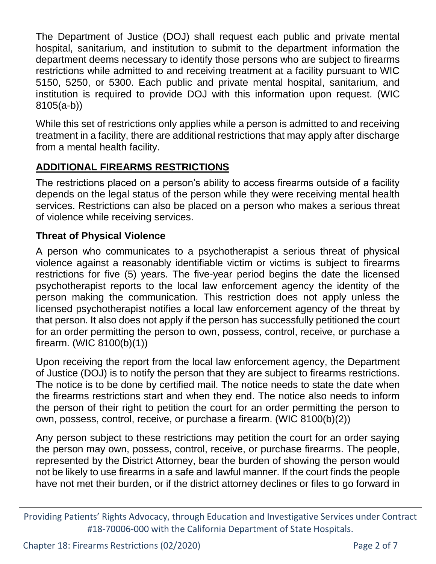The Department of Justice (DOJ) shall request each public and private mental hospital, sanitarium, and institution to submit to the department information the department deems necessary to identify those persons who are subject to firearms restrictions while admitted to and receiving treatment at a facility pursuant to WIC 5150, 5250, or 5300. Each public and private mental hospital, sanitarium, and institution is required to provide DOJ with this information upon request. (WIC 8105(a-b))

While this set of restrictions only applies while a person is admitted to and receiving treatment in a facility, there are additional restrictions that may apply after discharge from a mental health facility.

### **ADDITIONAL FIREARMS RESTRICTIONS**

The restrictions placed on a person's ability to access firearms outside of a facility depends on the legal status of the person while they were receiving mental health services. Restrictions can also be placed on a person who makes a serious threat of violence while receiving services.

#### **Threat of Physical Violence**

A person who communicates to a psychotherapist a serious threat of physical violence against a reasonably identifiable victim or victims is subject to firearms restrictions for five (5) years. The five-year period begins the date the licensed psychotherapist reports to the local law enforcement agency the identity of the person making the communication. This restriction does not apply unless the licensed psychotherapist notifies a local law enforcement agency of the threat by that person. It also does not apply if the person has successfully petitioned the court for an order permitting the person to own, possess, control, receive, or purchase a firearm. (WIC 8100(b)(1))

Upon receiving the report from the local law enforcement agency, the Department of Justice (DOJ) is to notify the person that they are subject to firearms restrictions. The notice is to be done by certified mail. The notice needs to state the date when the firearms restrictions start and when they end. The notice also needs to inform the person of their right to petition the court for an order permitting the person to own, possess, control, receive, or purchase a firearm. (WIC 8100(b)(2))

Any person subject to these restrictions may petition the court for an order saying the person may own, possess, control, receive, or purchase firearms. The people, represented by the District Attorney, bear the burden of showing the person would not be likely to use firearms in a safe and lawful manner. If the court finds the people have not met their burden, or if the district attorney declines or files to go forward in

Providing Patients' Rights Advocacy, through Education and Investigative Services under Contract #18-70006-000 with the California Department of State Hospitals.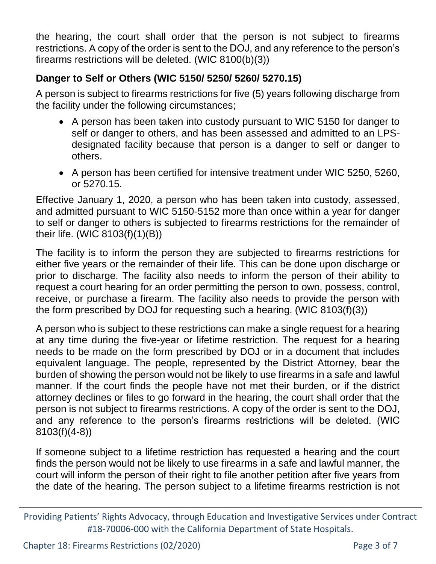the hearing, the court shall order that the person is not subject to firearms restrictions. A copy of the order is sent to the DOJ, and any reference to the person's firearms restrictions will be deleted. (WIC 8100(b)(3))

### **Danger to Self or Others (WIC 5150/ 5250/ 5260/ 5270.15)**

A person is subject to firearms restrictions for five (5) years following discharge from the facility under the following circumstances;

- A person has been taken into custody pursuant to WIC 5150 for danger to self or danger to others, and has been assessed and admitted to an LPSdesignated facility because that person is a danger to self or danger to others.
- A person has been certified for intensive treatment under WIC 5250, 5260, or 5270.15.

Effective January 1, 2020, a person who has been taken into custody, assessed, and admitted pursuant to WIC 5150-5152 more than once within a year for danger to self or danger to others is subjected to firearms restrictions for the remainder of their life. (WIC 8103(f)(1)(B))

The facility is to inform the person they are subjected to firearms restrictions for either five years or the remainder of their life. This can be done upon discharge or prior to discharge. The facility also needs to inform the person of their ability to request a court hearing for an order permitting the person to own, possess, control, receive, or purchase a firearm. The facility also needs to provide the person with the form prescribed by DOJ for requesting such a hearing. (WIC 8103(f)(3))

A person who is subject to these restrictions can make a single request for a hearing at any time during the five-year or lifetime restriction. The request for a hearing needs to be made on the form prescribed by DOJ or in a document that includes equivalent language. The people, represented by the District Attorney, bear the burden of showing the person would not be likely to use firearms in a safe and lawful manner. If the court finds the people have not met their burden, or if the district attorney declines or files to go forward in the hearing, the court shall order that the person is not subject to firearms restrictions. A copy of the order is sent to the DOJ, and any reference to the person's firearms restrictions will be deleted. (WIC 8103(f)(4-8))

If someone subject to a lifetime restriction has requested a hearing and the court finds the person would not be likely to use firearms in a safe and lawful manner, the court will inform the person of their right to file another petition after five years from the date of the hearing. The person subject to a lifetime firearms restriction is not

Providing Patients' Rights Advocacy, through Education and Investigative Services under Contract #18-70006-000 with the California Department of State Hospitals.

Chapter 18: Firearms Restrictions (02/2020) Page 3 of 7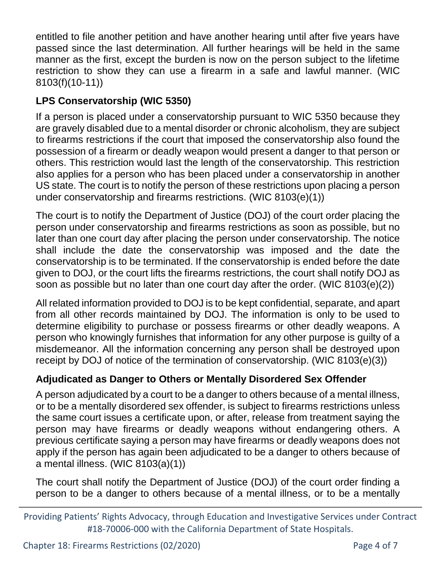entitled to file another petition and have another hearing until after five years have passed since the last determination. All further hearings will be held in the same manner as the first, except the burden is now on the person subject to the lifetime restriction to show they can use a firearm in a safe and lawful manner. (WIC 8103(f)(10-11))

# **LPS Conservatorship (WIC 5350)**

If a person is placed under a conservatorship pursuant to WIC 5350 because they are gravely disabled due to a mental disorder or chronic alcoholism, they are subject to firearms restrictions if the court that imposed the conservatorship also found the possession of a firearm or deadly weapon would present a danger to that person or others. This restriction would last the length of the conservatorship. This restriction also applies for a person who has been placed under a conservatorship in another US state. The court is to notify the person of these restrictions upon placing a person under conservatorship and firearms restrictions. (WIC 8103(e)(1))

The court is to notify the Department of Justice (DOJ) of the court order placing the person under conservatorship and firearms restrictions as soon as possible, but no later than one court day after placing the person under conservatorship. The notice shall include the date the conservatorship was imposed and the date the conservatorship is to be terminated. If the conservatorship is ended before the date given to DOJ, or the court lifts the firearms restrictions, the court shall notify DOJ as soon as possible but no later than one court day after the order. (WIC 8103(e)(2))

All related information provided to DOJ is to be kept confidential, separate, and apart from all other records maintained by DOJ. The information is only to be used to determine eligibility to purchase or possess firearms or other deadly weapons. A person who knowingly furnishes that information for any other purpose is guilty of a misdemeanor. All the information concerning any person shall be destroyed upon receipt by DOJ of notice of the termination of conservatorship. (WIC 8103(e)(3))

## **Adjudicated as Danger to Others or Mentally Disordered Sex Offender**

A person adjudicated by a court to be a danger to others because of a mental illness, or to be a mentally disordered sex offender, is subject to firearms restrictions unless the same court issues a certificate upon, or after, release from treatment saying the person may have firearms or deadly weapons without endangering others. A previous certificate saying a person may have firearms or deadly weapons does not apply if the person has again been adjudicated to be a danger to others because of a mental illness. (WIC 8103(a)(1))

The court shall notify the Department of Justice (DOJ) of the court order finding a person to be a danger to others because of a mental illness, or to be a mentally

Providing Patients' Rights Advocacy, through Education and Investigative Services under Contract #18-70006-000 with the California Department of State Hospitals.

Chapter 18: Firearms Restrictions (02/2020) Page 4 of 7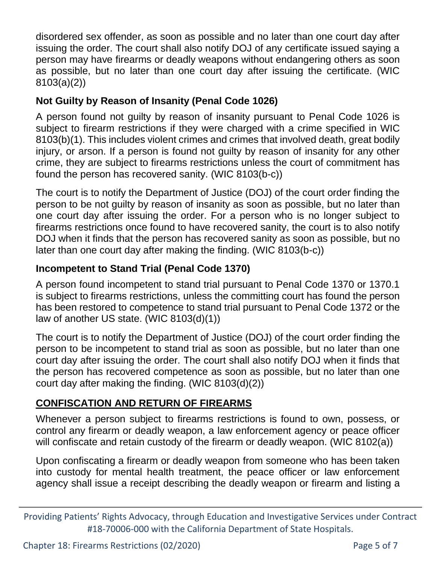disordered sex offender, as soon as possible and no later than one court day after issuing the order. The court shall also notify DOJ of any certificate issued saying a person may have firearms or deadly weapons without endangering others as soon as possible, but no later than one court day after issuing the certificate. (WIC 8103(a)(2))

### **Not Guilty by Reason of Insanity (Penal Code 1026)**

A person found not guilty by reason of insanity pursuant to Penal Code 1026 is subject to firearm restrictions if they were charged with a crime specified in WIC 8103(b)(1). This includes violent crimes and crimes that involved death, great bodily injury, or arson. If a person is found not guilty by reason of insanity for any other crime, they are subject to firearms restrictions unless the court of commitment has found the person has recovered sanity. (WIC 8103(b-c))

The court is to notify the Department of Justice (DOJ) of the court order finding the person to be not guilty by reason of insanity as soon as possible, but no later than one court day after issuing the order. For a person who is no longer subject to firearms restrictions once found to have recovered sanity, the court is to also notify DOJ when it finds that the person has recovered sanity as soon as possible, but no later than one court day after making the finding. (WIC 8103(b-c))

### **Incompetent to Stand Trial (Penal Code 1370)**

A person found incompetent to stand trial pursuant to Penal Code 1370 or 1370.1 is subject to firearms restrictions, unless the committing court has found the person has been restored to competence to stand trial pursuant to Penal Code 1372 or the law of another US state. (WIC 8103(d)(1))

The court is to notify the Department of Justice (DOJ) of the court order finding the person to be incompetent to stand trial as soon as possible, but no later than one court day after issuing the order. The court shall also notify DOJ when it finds that the person has recovered competence as soon as possible, but no later than one court day after making the finding. (WIC 8103(d)(2))

### **CONFISCATION AND RETURN OF FIREARMS**

Whenever a person subject to firearms restrictions is found to own, possess, or control any firearm or deadly weapon, a law enforcement agency or peace officer will confiscate and retain custody of the firearm or deadly weapon. (WIC 8102(a))

Upon confiscating a firearm or deadly weapon from someone who has been taken into custody for mental health treatment, the peace officer or law enforcement agency shall issue a receipt describing the deadly weapon or firearm and listing a

Providing Patients' Rights Advocacy, through Education and Investigative Services under Contract #18-70006-000 with the California Department of State Hospitals.

Chapter 18: Firearms Restrictions (02/2020) Department of the Page 5 of 7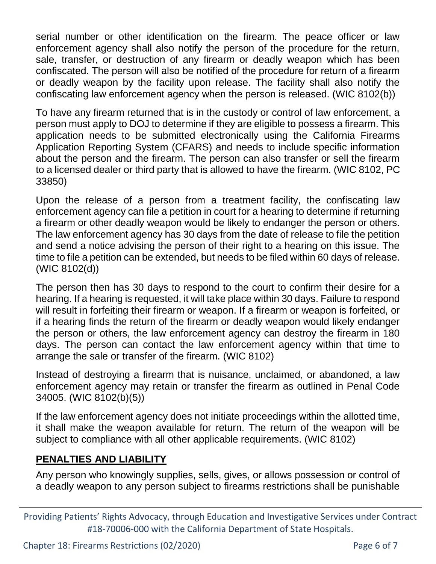serial number or other identification on the firearm. The peace officer or law enforcement agency shall also notify the person of the procedure for the return, sale, transfer, or destruction of any firearm or deadly weapon which has been confiscated. The person will also be notified of the procedure for return of a firearm or deadly weapon by the facility upon release. The facility shall also notify the confiscating law enforcement agency when the person is released. (WIC 8102(b))

To have any firearm returned that is in the custody or control of law enforcement, a person must apply to DOJ to determine if they are eligible to possess a firearm. This application needs to be submitted electronically using the California Firearms Application Reporting System (CFARS) and needs to include specific information about the person and the firearm. The person can also transfer or sell the firearm to a licensed dealer or third party that is allowed to have the firearm. (WIC 8102, PC 33850)

Upon the release of a person from a treatment facility, the confiscating law enforcement agency can file a petition in court for a hearing to determine if returning a firearm or other deadly weapon would be likely to endanger the person or others. The law enforcement agency has 30 days from the date of release to file the petition and send a notice advising the person of their right to a hearing on this issue. The time to file a petition can be extended, but needs to be filed within 60 days of release. (WIC 8102(d))

The person then has 30 days to respond to the court to confirm their desire for a hearing. If a hearing is requested, it will take place within 30 days. Failure to respond will result in forfeiting their firearm or weapon. If a firearm or weapon is forfeited, or if a hearing finds the return of the firearm or deadly weapon would likely endanger the person or others, the law enforcement agency can destroy the firearm in 180 days. The person can contact the law enforcement agency within that time to arrange the sale or transfer of the firearm. (WIC 8102)

Instead of destroying a firearm that is nuisance, unclaimed, or abandoned, a law enforcement agency may retain or transfer the firearm as outlined in Penal Code 34005. (WIC 8102(b)(5))

If the law enforcement agency does not initiate proceedings within the allotted time, it shall make the weapon available for return. The return of the weapon will be subject to compliance with all other applicable requirements. (WIC 8102)

#### **PENALTIES AND LIABILITY**

Any person who knowingly supplies, sells, gives, or allows possession or control of a deadly weapon to any person subject to firearms restrictions shall be punishable

Providing Patients' Rights Advocacy, through Education and Investigative Services under Contract #18-70006-000 with the California Department of State Hospitals.

Chapter 18: Firearms Restrictions (02/2020) Page 6 of 7